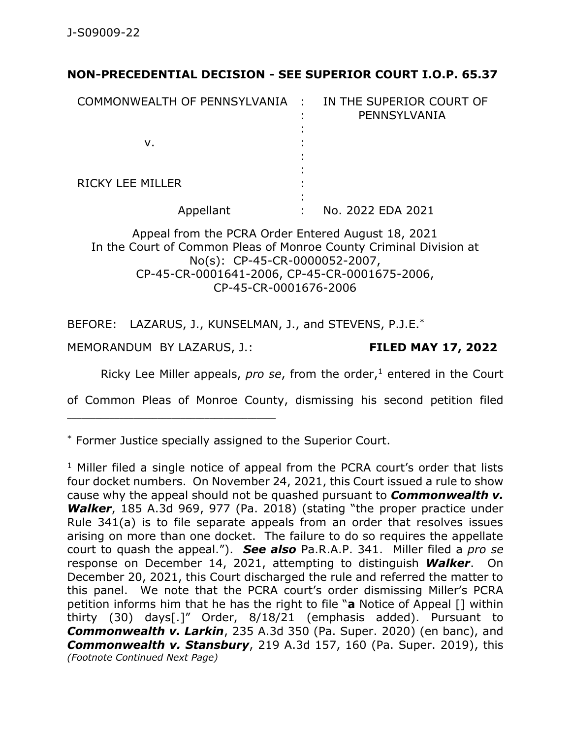## **NON-PRECEDENTIAL DECISION - SEE SUPERIOR COURT I.O.P. 65.37**

| COMMONWEALTH OF PENNSYLVANIA :                              |   | IN THE SUPERIOR COURT OF<br>PENNSYLVANIA |
|-------------------------------------------------------------|---|------------------------------------------|
| v.                                                          |   |                                          |
| <b>RICKY LEE MILLER</b>                                     |   |                                          |
| Appellant                                                   | ٠ | No. 2022 EDA 2021                        |
| $\mathbf{r}$ $\mathbf{r}$<br><b>BOB</b> A L<br>$\mathbf{A}$ |   | $-1$ $-1$ $-1$                           |

## Appeal from the PCRA Order Entered August 18, 2021 In the Court of Common Pleas of Monroe County Criminal Division at No(s): CP-45-CR-0000052-2007, CP-45-CR-0001641-2006, CP-45-CR-0001675-2006, CP-45-CR-0001676-2006

BEFORE: LAZARUS, J., KUNSELMAN, J., and STEVENS, P.J.E.\*

MEMORANDUM BY LAZARUS, J.: **FILED MAY 17, 2022**

Ricky Lee Miller appeals, *pro se*, from the order,<sup>1</sup> entered in the Court

of Common Pleas of Monroe County, dismissing his second petition filed

\* Former Justice specially assigned to the Superior Court.

 $1$  Miller filed a single notice of appeal from the PCRA court's order that lists four docket numbers. On November 24, 2021, this Court issued a rule to show cause why the appeal should not be quashed pursuant to *Commonwealth v. Walker*, 185 A.3d 969, 977 (Pa. 2018) (stating "the proper practice under Rule 341(a) is to file separate appeals from an order that resolves issues arising on more than one docket. The failure to do so requires the appellate court to quash the appeal."). *See also* Pa.R.A.P. 341. Miller filed a *pro se* response on December 14, 2021, attempting to distinguish *Walker*. On December 20, 2021, this Court discharged the rule and referred the matter to this panel. We note that the PCRA court's order dismissing Miller's PCRA petition informs him that he has the right to file "**a** Notice of Appeal [] within thirty (30) days[.]" Order, 8/18/21 (emphasis added). Pursuant to *Commonwealth v. Larkin*, 235 A.3d 350 (Pa. Super. 2020) (en banc), and *Commonwealth v. Stansbury*, 219 A.3d 157, 160 (Pa. Super. 2019), this *(Footnote Continued Next Page)*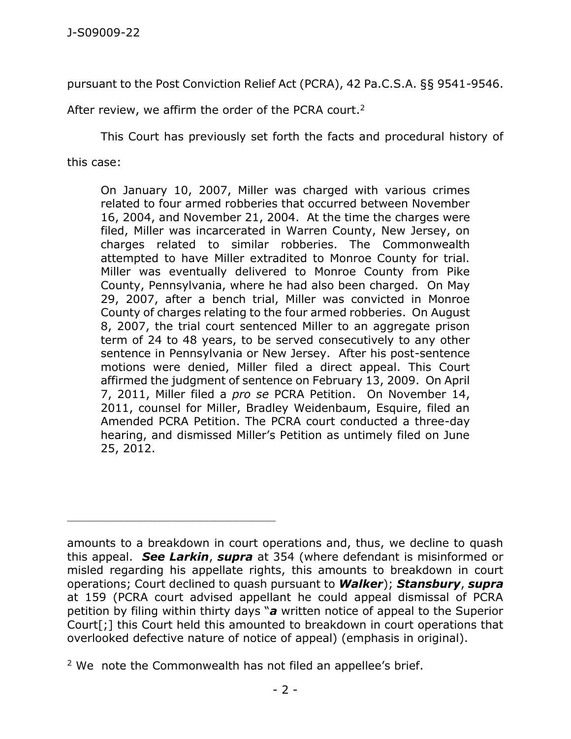pursuant to the Post Conviction Relief Act (PCRA), 42 Pa.C.S.A. §§ 9541-9546.

After review, we affirm the order of the PCRA court.<sup>2</sup>

This Court has previously set forth the facts and procedural history of

this case:

On January 10, 2007, Miller was charged with various crimes related to four armed robberies that occurred between November 16, 2004, and November 21, 2004. At the time the charges were filed, Miller was incarcerated in Warren County, New Jersey, on charges related to similar robberies. The Commonwealth attempted to have Miller extradited to Monroe County for trial. Miller was eventually delivered to Monroe County from Pike County, Pennsylvania, where he had also been charged. On May 29, 2007, after a bench trial, Miller was convicted in Monroe County of charges relating to the four armed robberies. On August 8, 2007, the trial court sentenced Miller to an aggregate prison term of 24 to 48 years, to be served consecutively to any other sentence in Pennsylvania or New Jersey. After his post-sentence motions were denied, Miller filed a direct appeal. This Court affirmed the judgment of sentence on February 13, 2009. On April 7, 2011, Miller filed a *pro se* PCRA Petition. On November 14, 2011, counsel for Miller, Bradley Weidenbaum, Esquire, filed an Amended PCRA Petition. The PCRA court conducted a three-day hearing, and dismissed Miller's Petition as untimely filed on June 25, 2012.

\_\_\_\_\_\_\_\_\_\_\_\_\_\_\_\_\_\_\_\_\_\_\_\_\_\_\_\_\_\_\_\_\_\_\_\_\_\_\_\_\_\_\_\_

amounts to a breakdown in court operations and, thus, we decline to quash this appeal. *See Larkin*, *supra* at 354 (where defendant is misinformed or misled regarding his appellate rights, this amounts to breakdown in court operations; Court declined to quash pursuant to *Walker*); *Stansbury*, *supra* at 159 (PCRA court advised appellant he could appeal dismissal of PCRA petition by filing within thirty days "*a* written notice of appeal to the Superior Court[;] this Court held this amounted to breakdown in court operations that overlooked defective nature of notice of appeal) (emphasis in original).

 $2$  We note the Commonwealth has not filed an appellee's brief.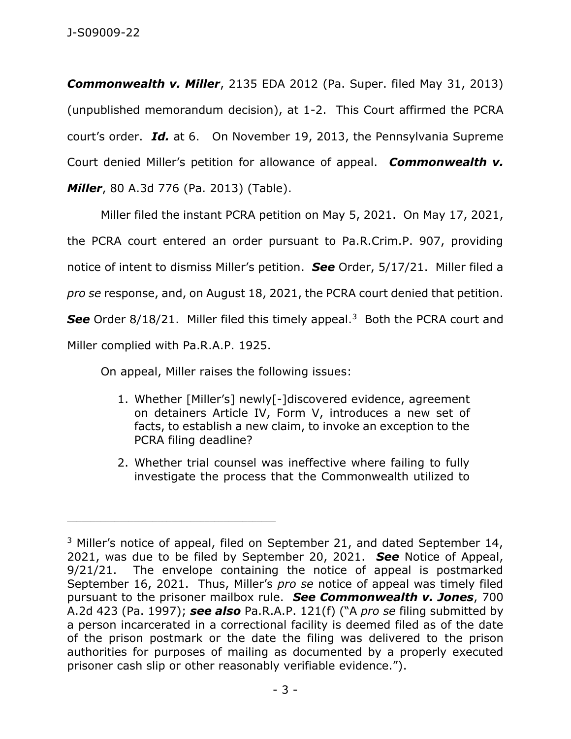*Commonwealth v. Miller*, 2135 EDA 2012 (Pa. Super. filed May 31, 2013) (unpublished memorandum decision), at 1-2. This Court affirmed the PCRA court's order. *Id.* at 6. On November 19, 2013, the Pennsylvania Supreme Court denied Miller's petition for allowance of appeal. *Commonwealth v. Miller*, 80 A.3d 776 (Pa. 2013) (Table).

Miller filed the instant PCRA petition on May 5, 2021. On May 17, 2021, the PCRA court entered an order pursuant to Pa.R.Crim.P. 907, providing notice of intent to dismiss Miller's petition. *See* Order, 5/17/21. Miller filed a *pro se* response, and, on August 18, 2021, the PCRA court denied that petition. See Order 8/18/21. Miller filed this timely appeal.<sup>3</sup> Both the PCRA court and Miller complied with Pa.R.A.P. 1925.

On appeal, Miller raises the following issues:

\_\_\_\_\_\_\_\_\_\_\_\_\_\_\_\_\_\_\_\_\_\_\_\_\_\_\_\_\_\_\_\_\_\_\_\_\_\_\_\_\_\_\_\_

- 1. Whether [Miller's] newly[-]discovered evidence, agreement on detainers Article IV, Form V, introduces a new set of facts, to establish a new claim, to invoke an exception to the PCRA filing deadline?
- 2. Whether trial counsel was ineffective where failing to fully investigate the process that the Commonwealth utilized to

<sup>&</sup>lt;sup>3</sup> Miller's notice of appeal, filed on September 21, and dated September 14, 2021, was due to be filed by September 20, 2021. *See* Notice of Appeal, 9/21/21. The envelope containing the notice of appeal is postmarked September 16, 2021. Thus, Miller's *pro se* notice of appeal was timely filed pursuant to the prisoner mailbox rule. *See Commonwealth v. Jones*, 700 A.2d 423 (Pa. 1997); *see also* Pa.R.A.P. 121(f) ("A *pro se* filing submitted by a person incarcerated in a correctional facility is deemed filed as of the date of the prison postmark or the date the filing was delivered to the prison authorities for purposes of mailing as documented by a properly executed prisoner cash slip or other reasonably verifiable evidence.").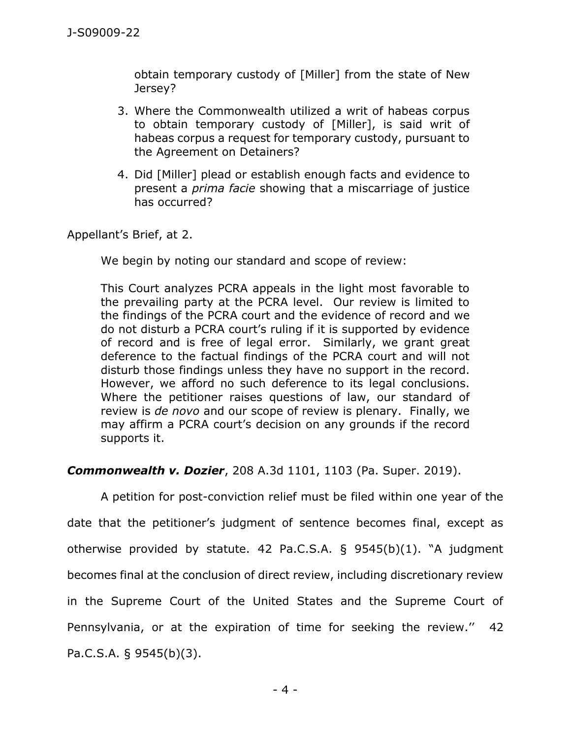obtain temporary custody of [Miller] from the state of New Jersey?

- 3. Where the Commonwealth utilized a writ of habeas corpus to obtain temporary custody of [Miller], is said writ of habeas corpus a request for temporary custody, pursuant to the Agreement on Detainers?
- 4. Did [Miller] plead or establish enough facts and evidence to present a *prima facie* showing that a miscarriage of justice has occurred?

Appellant's Brief, at 2.

We begin by noting our standard and scope of review:

This Court analyzes PCRA appeals in the light most favorable to the prevailing party at the PCRA level. Our review is limited to the findings of the PCRA court and the evidence of record and we do not disturb a PCRA court's ruling if it is supported by evidence of record and is free of legal error. Similarly, we grant great deference to the factual findings of the PCRA court and will not disturb those findings unless they have no support in the record. However, we afford no such deference to its legal conclusions. Where the petitioner raises questions of law, our standard of review is *de novo* and our scope of review is plenary. Finally, we may affirm a PCRA court's decision on any grounds if the record supports it.

## *Commonwealth v. Dozier*, 208 A.3d 1101, 1103 (Pa. Super. 2019).

A petition for post-conviction relief must be filed within one year of the date that the petitioner's judgment of sentence becomes final, except as otherwise provided by statute. 42 Pa.C.S.A. § 9545(b)(1). "A judgment becomes final at the conclusion of direct review, including discretionary review in the Supreme Court of the United States and the Supreme Court of Pennsylvania, or at the expiration of time for seeking the review.'' 42 Pa.C.S.A. § 9545(b)(3).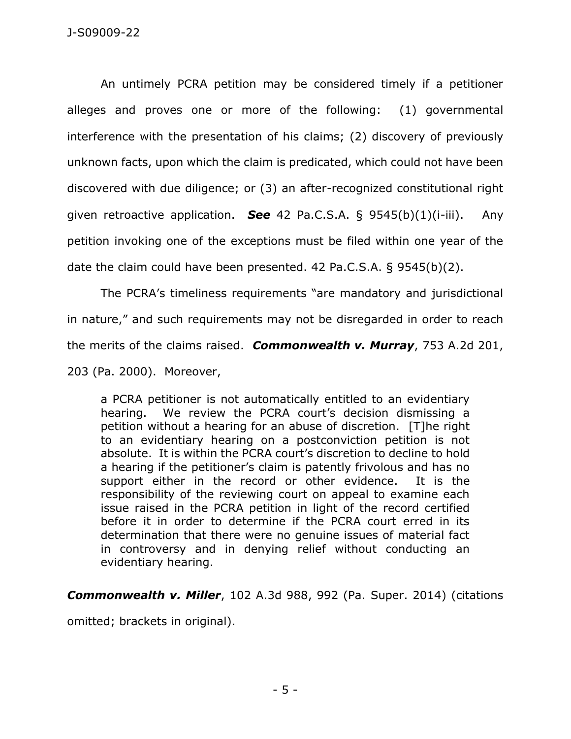An untimely PCRA petition may be considered timely if a petitioner alleges and proves one or more of the following: (1) governmental interference with the presentation of his claims; (2) discovery of previously unknown facts, upon which the claim is predicated, which could not have been discovered with due diligence; or (3) an after-recognized constitutional right given retroactive application. *See* 42 Pa.C.S.A. § 9545(b)(1)(i-iii). Any petition invoking one of the exceptions must be filed within one year of the date the claim could have been presented. 42 Pa.C.S.A. § 9545(b)(2).

The PCRA's timeliness requirements "are mandatory and jurisdictional in nature," and such requirements may not be disregarded in order to reach the merits of the claims raised. *Commonwealth v. Murray*, 753 A.2d 201, 203 (Pa. 2000). Moreover,

a PCRA petitioner is not automatically entitled to an evidentiary hearing. We review the PCRA court's decision dismissing a petition without a hearing for an abuse of discretion. [T]he right to an evidentiary hearing on a postconviction petition is not absolute. It is within the PCRA court's discretion to decline to hold a hearing if the petitioner's claim is patently frivolous and has no support either in the record or other evidence. It is the responsibility of the reviewing court on appeal to examine each issue raised in the PCRA petition in light of the record certified before it in order to determine if the PCRA court erred in its determination that there were no genuine issues of material fact in controversy and in denying relief without conducting an evidentiary hearing.

*Commonwealth v. Miller*, 102 A.3d 988, 992 (Pa. Super. 2014) (citations

omitted; brackets in original).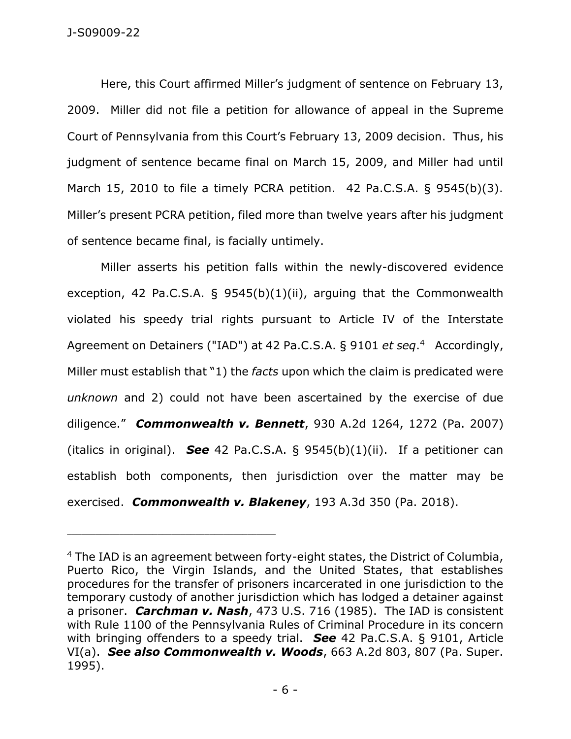Here, this Court affirmed Miller's judgment of sentence on February 13, 2009. Miller did not file a petition for allowance of appeal in the Supreme Court of Pennsylvania from this Court's February 13, 2009 decision. Thus, his judgment of sentence became final on March 15, 2009, and Miller had until March 15, 2010 to file a timely PCRA petition. 42 Pa.C.S.A. § 9545(b)(3). Miller's present PCRA petition, filed more than twelve years after his judgment of sentence became final, is facially untimely.

Miller asserts his petition falls within the newly-discovered evidence exception, 42 Pa.C.S.A. § 9545(b)(1)(ii), arguing that the Commonwealth violated his speedy trial rights pursuant to Article IV of the Interstate Agreement on Detainers ("IAD") at 42 Pa.C.S.A. § 9101 *et seq*. 4 Accordingly, Miller must establish that "1) the *facts* upon which the claim is predicated were *unknown* and 2) could not have been ascertained by the exercise of due diligence." *Commonwealth v. Bennett*, 930 A.2d 1264, 1272 (Pa. 2007) (italics in original). *See* 42 Pa.C.S.A. § 9545(b)(1)(ii). If a petitioner can establish both components, then jurisdiction over the matter may be exercised. *Commonwealth v. Blakeney*, 193 A.3d 350 (Pa. 2018).

\_\_\_\_\_\_\_\_\_\_\_\_\_\_\_\_\_\_\_\_\_\_\_\_\_\_\_\_\_\_\_\_\_\_\_\_\_\_\_\_\_\_\_\_

<sup>&</sup>lt;sup>4</sup> The IAD is an agreement between forty-eight states, the District of Columbia, Puerto Rico, the Virgin Islands, and the United States, that establishes procedures for the transfer of prisoners incarcerated in one jurisdiction to the temporary custody of another jurisdiction which has lodged a detainer against a prisoner. *Carchman v. Nash*, 473 U.S. 716 (1985). The IAD is consistent with Rule 1100 of the Pennsylvania Rules of Criminal Procedure in its concern with bringing offenders to a speedy trial. *See* 42 Pa.C.S.A. § 9101, Article VI(a). *See also Commonwealth v. Woods*, 663 A.2d 803, 807 (Pa. Super. 1995).